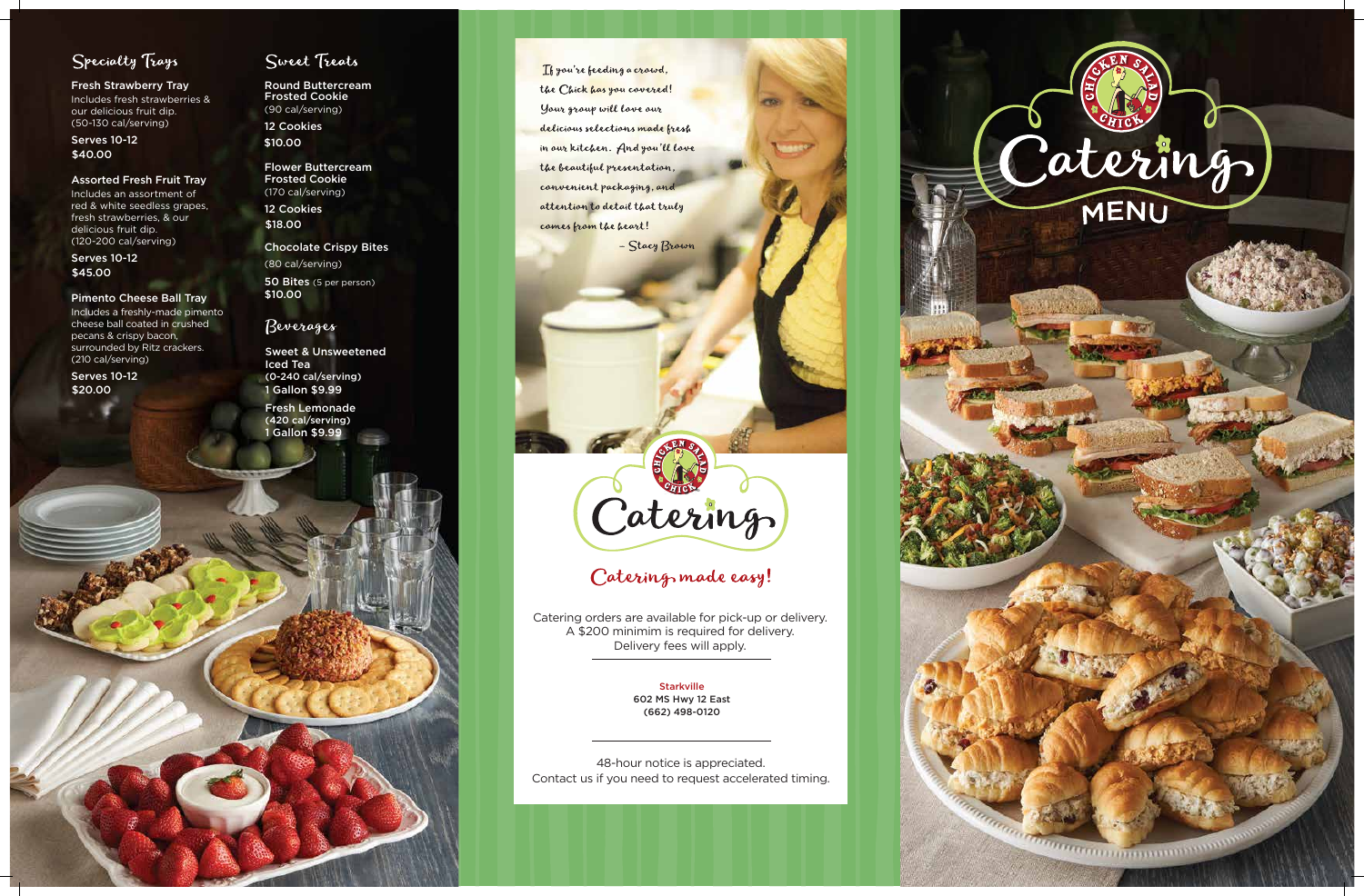

### Specialty Trays

Fresh Strawberry Tray Includes fresh strawberries & our delicious fruit dip. (50-130 cal/serving)

#### Assorted Fresh Fruit Tray

Includes an assortment of red & white seedless grapes, fresh strawberries, & our delicious fruit dip. (120-200 cal/serving)

#### Pimento Cheese Ball Tray

Includes a freshly-made pimento cheese ball coated in crushed pecans & crispy bacon, surrounded by Ritz crackers. (210 cal/serving)

Serves 10-12 \$40.00

Serves 10-12 \$45.00

> **Starkville** 602 MS Hwy 12 East (662) 498-0120

Round Buttercream Frosted Cookie (90 cal/serving) 12 Cookies \$10.00

Serves 10-12 \$20.00

### Sweet Treats

Chocolate Crispy Bites

Flower Buttercream Frosted Cookie (170 cal/serving) 12 Cookies \$18.00

(80 cal/serving) 50 Bites (5 per person) \$10.00

> 48-hour notice is appreciated. Contact us if you need to request accelerated timing.



### Catering made easy!

1 Gallon \$9.99 Fresh Lemonade (420 cal/serving)

If you're feeding a crowd, the Chick has you covered! Your group will love our delicious selections made fresh in our kitchen. And you'll love the beautiful presentation, convenient packaging, and attention to detail that truly comes from the heart!

- Stacy Brown

Catering orders are available for pick-up or delivery. A \$200 minimim is required for delivery. Delivery fees will apply.

1 Gallon \$9.99 Sweet & Unsweetened Iced Tea (0-240 cal/serving)

#### Beverages